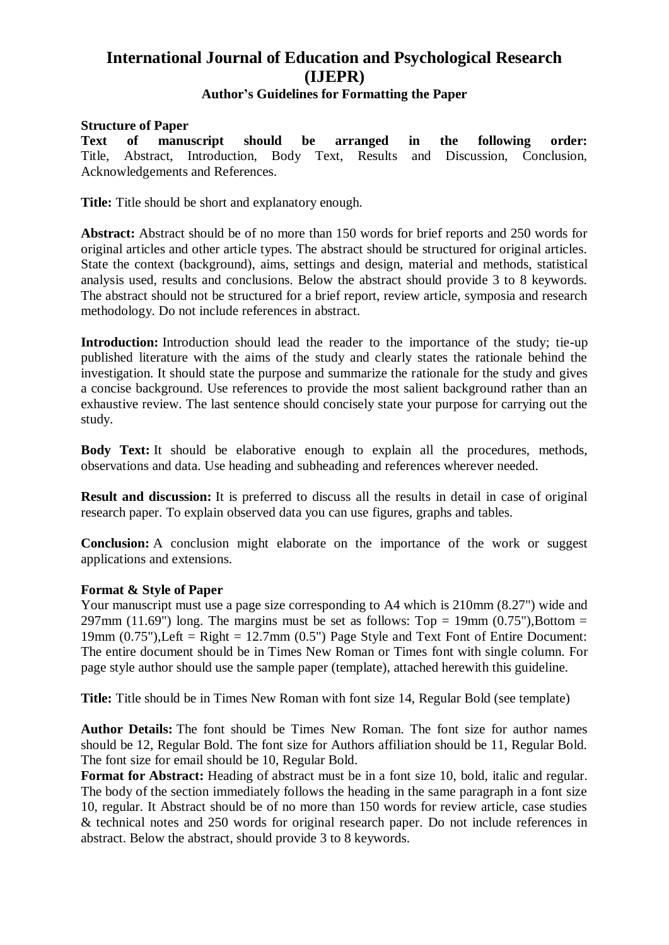# **International Journal of Education and Psychological Research (IJEPR)**

## **Author's Guidelines for Formatting the Paper**

#### **Structure of Paper**

**Text of manuscript should be arranged in the following order:** Title, Abstract, Introduction, Body Text, Results and Discussion, Conclusion, Acknowledgements and References.

**Title:** Title should be short and explanatory enough.

**Abstract:** Abstract should be of no more than 150 words for brief reports and 250 words for original articles and other article types. The abstract should be structured for original articles. State the context (background), aims, settings and design, material and methods, statistical analysis used, results and conclusions. Below the abstract should provide 3 to 8 keywords. The abstract should not be structured for a brief report, review article, symposia and research methodology. Do not include references in abstract.

**Introduction:** Introduction should lead the reader to the importance of the study; tie-up published literature with the aims of the study and clearly states the rationale behind the investigation. It should state the purpose and summarize the rationale for the study and gives a concise background. Use references to provide the most salient background rather than an exhaustive review. The last sentence should concisely state your purpose for carrying out the study.

**Body Text:** It should be elaborative enough to explain all the procedures, methods, observations and data. Use heading and subheading and references wherever needed.

**Result and discussion:** It is preferred to discuss all the results in detail in case of original research paper. To explain observed data you can use figures, graphs and tables.

**Conclusion:** A conclusion might elaborate on the importance of the work or suggest applications and extensions.

#### **Format & Style of Paper**

Your manuscript must use a page size corresponding to A4 which is 210mm (8.27") wide and 297mm (11.69") long. The margins must be set as follows:  $Top = 19$ mm (0.75"),Bottom = 19mm  $(0.75)$ , Left = Right = 12.7mm  $(0.5)$  Page Style and Text Font of Entire Document: The entire document should be in Times New Roman or Times font with single column. For page style author should use the sample paper (template), attached herewith this guideline.

**Title:** Title should be in Times New Roman with font size 14, Regular Bold (see template)

**Author Details:** The font should be Times New Roman. The font size for author names should be 12, Regular Bold. The font size for Authors affiliation should be 11, Regular Bold. The font size for email should be 10, Regular Bold.

**Format for Abstract:** Heading of abstract must be in a font size 10, bold, italic and regular. The body of the section immediately follows the heading in the same paragraph in a font size 10, regular. It Abstract should be of no more than 150 words for review article, case studies & technical notes and 250 words for original research paper. Do not include references in abstract. Below the abstract, should provide 3 to 8 keywords.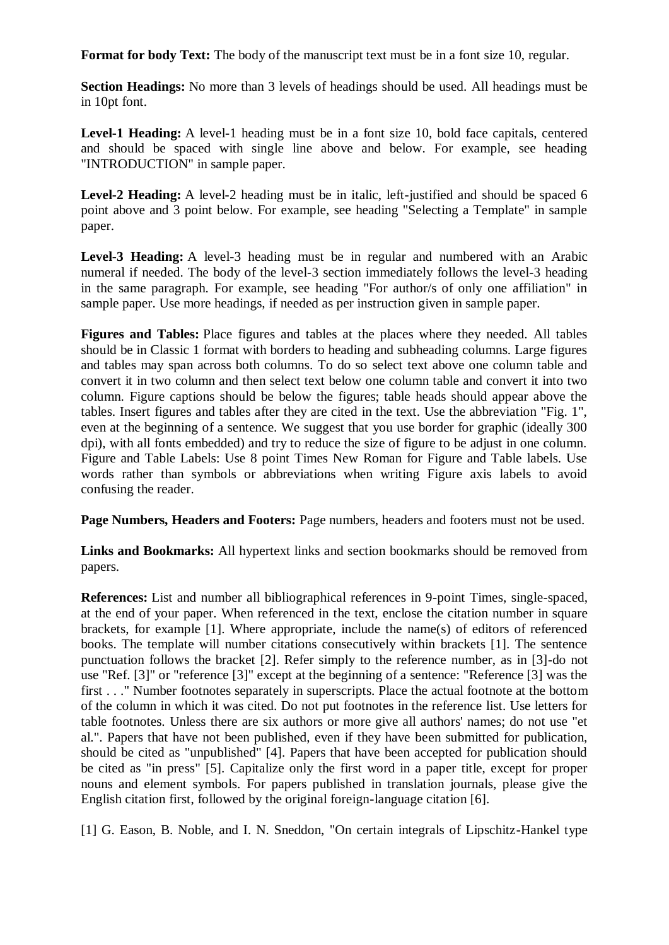**Format for body Text:** The body of the manuscript text must be in a font size 10, regular.

**Section Headings:** No more than 3 levels of headings should be used. All headings must be in 10pt font.

**Level-1 Heading:** A level-1 heading must be in a font size 10, bold face capitals, centered and should be spaced with single line above and below. For example, see heading "INTRODUCTION" in sample paper.

**Level-2 Heading:** A level-2 heading must be in italic, left-justified and should be spaced 6 point above and 3 point below. For example, see heading "Selecting a Template" in sample paper.

**Level-3 Heading:** A level-3 heading must be in regular and numbered with an Arabic numeral if needed. The body of the level-3 section immediately follows the level-3 heading in the same paragraph. For example, see heading "For author/s of only one affiliation" in sample paper. Use more headings, if needed as per instruction given in sample paper.

**Figures and Tables:** Place figures and tables at the places where they needed. All tables should be in Classic 1 format with borders to heading and subheading columns. Large figures and tables may span across both columns. To do so select text above one column table and convert it in two column and then select text below one column table and convert it into two column. Figure captions should be below the figures; table heads should appear above the tables. Insert figures and tables after they are cited in the text. Use the abbreviation "Fig. 1", even at the beginning of a sentence. We suggest that you use border for graphic (ideally 300 dpi), with all fonts embedded) and try to reduce the size of figure to be adjust in one column. Figure and Table Labels: Use 8 point Times New Roman for Figure and Table labels. Use words rather than symbols or abbreviations when writing Figure axis labels to avoid confusing the reader.

**Page Numbers, Headers and Footers:** Page numbers, headers and footers must not be used.

**Links and Bookmarks:** All hypertext links and section bookmarks should be removed from papers.

**References:** List and number all bibliographical references in 9-point Times, single-spaced, at the end of your paper. When referenced in the text, enclose the citation number in square brackets, for example [1]. Where appropriate, include the name(s) of editors of referenced books. The template will number citations consecutively within brackets [1]. The sentence punctuation follows the bracket [2]. Refer simply to the reference number, as in [3]-do not use "Ref. [3]" or "reference [3]" except at the beginning of a sentence: "Reference [3] was the first . . ." Number footnotes separately in superscripts. Place the actual footnote at the bottom of the column in which it was cited. Do not put footnotes in the reference list. Use letters for table footnotes. Unless there are six authors or more give all authors' names; do not use "et al.". Papers that have not been published, even if they have been submitted for publication, should be cited as "unpublished" [4]. Papers that have been accepted for publication should be cited as "in press" [5]. Capitalize only the first word in a paper title, except for proper nouns and element symbols. For papers published in translation journals, please give the English citation first, followed by the original foreign-language citation [6].

[1] G. Eason, B. Noble, and I. N. Sneddon, "On certain integrals of Lipschitz-Hankel type